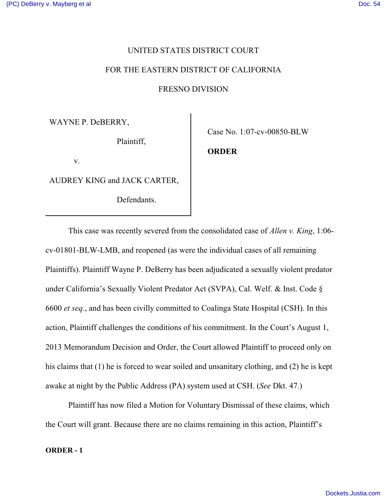### UNITED STATES DISTRICT COURT

### FOR THE EASTERN DISTRICT OF CALIFORNIA

FRESNO DIVISION

WAYNE P. DeBERRY,

Plaintiff,

v.

AUDREY KING and JACK CARTER,

Defendants.

Case No. 1:07-cv-00850-BLW

**ORDER**

This case was recently severed from the consolidated case of *Allen v. King*, 1:06 cv-01801-BLW-LMB, and reopened (as were the individual cases of all remaining Plaintiffs). Plaintiff Wayne P. DeBerry has been adjudicated a sexually violent predator under California's Sexually Violent Predator Act (SVPA), Cal. Welf. & Inst. Code § 6600 *et seq*., and has been civilly committed to Coalinga State Hospital (CSH). In this action, Plaintiff challenges the conditions of his commitment. In the Court's August 1, 2013 Memorandum Decision and Order, the Court allowed Plaintiff to proceed only on his claims that (1) he is forced to wear soiled and unsanitary clothing, and (2) he is kept awake at night by the Public Address (PA) system used at CSH. (*See* Dkt. 47.)

Plaintiff has now filed a Motion for Voluntary Dismissal of these claims, which the Court will grant. Because there are no claims remaining in this action, Plaintiff's

#### **ORDER - 1**